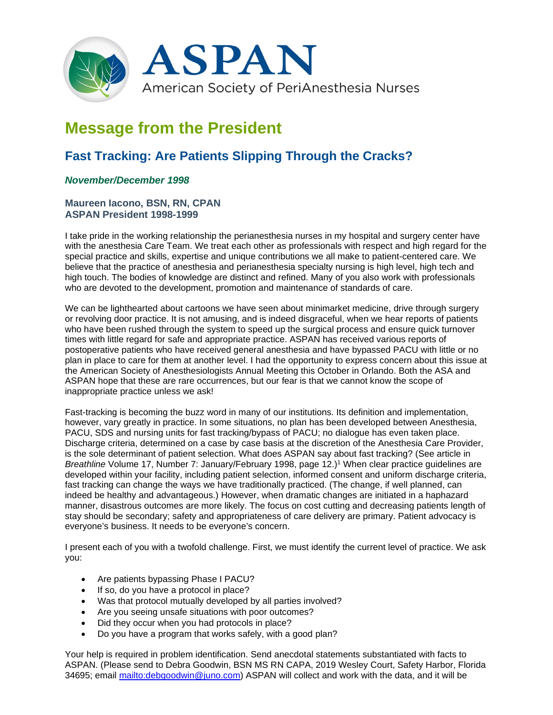

# **Message from the President**

# **Fast Tracking: Are Patients Slipping Through the Cracks?**

## *November/December 1998*

### **Maureen Iacono, BSN, RN, CPAN ASPAN President 1998-1999**

I take pride in the working relationship the perianesthesia nurses in my hospital and surgery center have with the anesthesia Care Team. We treat each other as professionals with respect and high regard for the special practice and skills, expertise and unique contributions we all make to patient-centered care. We believe that the practice of anesthesia and perianesthesia specialty nursing is high level, high tech and high touch. The bodies of knowledge are distinct and refined. Many of you also work with professionals who are devoted to the development, promotion and maintenance of standards of care.

We can be lighthearted about cartoons we have seen about minimarket medicine, drive through surgery or revolving door practice. It is not amusing, and is indeed disgraceful, when we hear reports of patients who have been rushed through the system to speed up the surgical process and ensure quick turnover times with little regard for safe and appropriate practice. ASPAN has received various reports of postoperative patients who have received general anesthesia and have bypassed PACU with little or no plan in place to care for them at another level. I had the opportunity to express concern about this issue at the American Society of Anesthesiologists Annual Meeting this October in Orlando. Both the ASA and ASPAN hope that these are rare occurrences, but our fear is that we cannot know the scope of inappropriate practice unless we ask!

Fast-tracking is becoming the buzz word in many of our institutions. Its definition and implementation, however, vary greatly in practice. In some situations, no plan has been developed between Anesthesia, PACU, SDS and nursing units for fast tracking/bypass of PACU; no dialogue has even taken place. Discharge criteria, determined on a case by case basis at the discretion of the Anesthesia Care Provider, is the sole determinant of patient selection. What does ASPAN say about fast tracking? (See article in *Breathline* Volume 17, Number 7: January/February 1998, page 12.)<sup>1</sup> When clear practice guidelines are developed within your facility, including patient selection, informed consent and uniform discharge criteria. fast tracking can change the ways we have traditionally practiced. (The change, if well planned, can indeed be healthy and advantageous.) However, when dramatic changes are initiated in a haphazard manner, disastrous outcomes are more likely. The focus on cost cutting and decreasing patients length of stay should be secondary; safety and appropriateness of care delivery are primary. Patient advocacy is everyone's business. It needs to be everyone's concern.

I present each of you with a twofold challenge. First, we must identify the current level of practice. We ask you:

- Are patients bypassing Phase I PACU?
- If so, do you have a protocol in place?
- Was that protocol mutually developed by all parties involved?
- Are you seeing unsafe situations with poor outcomes?
- Did they occur when you had protocols in place?
- Do you have a program that works safely, with a good plan?

Your help is required in problem identification. Send anecdotal statements substantiated with facts to ASPAN. (Please send to Debra Goodwin, BSN MS RN CAPA, 2019 Wesley Court, Safety Harbor, Florida 34695; email [mailto:debgoodwin@juno.com\)](mailto:debgoodwin@juno.com) ASPAN will collect and work with the data, and it will be